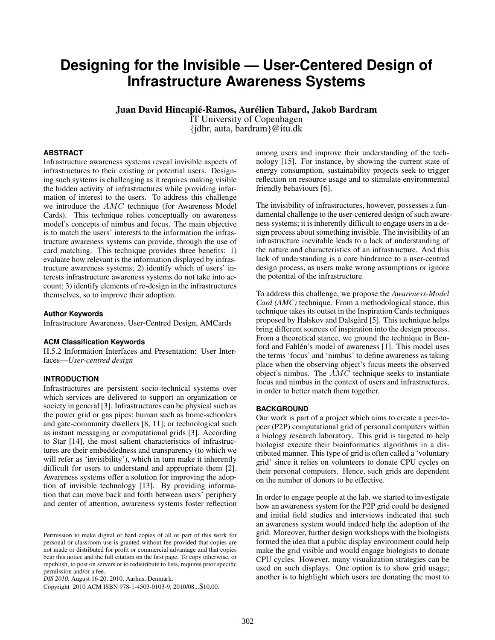# **Designing for the Invisible — User-Centered Design of Infrastructure Awareness Systems**

Juan David Hincapié-Ramos, Aurélien Tabard, Jakob Bardram

IT University of Copenhagen

{jdhr, auta, bardram}@itu.dk

# **ABSTRACT**

Infrastructure awareness systems reveal invisible aspects of infrastructures to their existing or potential users. Designing such systems is challenging as it requires making visible the hidden activity of infrastructures while providing information of interest to the users. To address this challenge we introduce the AMC technique (for Awareness Model Cards). This technique relies conceptually on awareness model's concepts of nimbus and focus. The main objective is to match the users' interests to the information the infrastructure awareness systems can provide, through the use of card matching. This technique provides three benefits: 1) evaluate how relevant is the information displayed by infrastructure awareness systems; 2) identify which of users' interests infrastructure awareness systems do not take into account; 3) identify elements of re-design in the infrastructures themselves, so to improve their adoption.

#### **Author Keywords**

Infrastructure Awareness, User-Centred Design, AMCards

## **ACM Classification Keywords**

H.5.2 Information Interfaces and Presentation: User Interfaces—*User-centred design*

# **INTRODUCTION**

Infrastructures are persistent socio-technical systems over which services are delivered to support an organization or society in general [\[3\]](#page-3-0). Infrastructures can be physical such as the power grid or gas pipes; human such as home-schoolers and gate-community dwellers [\[8,](#page-3-1) [11\]](#page-3-2); or technological such as instant messaging or computational grids [\[3\]](#page-3-0). According to Star [\[14\]](#page-3-3), the most salient characteristics of infrastructures are their embeddedness and transparency (to which we will refer as 'invisibility'), which in turn make it inherently difficult for users to understand and appropriate them [\[2\]](#page-3-4). Awareness systems offer a solution for improving the adoption of invisible technology [\[13\]](#page-3-5). By providing information that can move back and forth between users' periphery and center of attention, awareness systems foster reflection

*DIS 2010*, August 16-20, 2010, Aarhus, Denmark.

among users and improve their understanding of the technology [\[15\]](#page-3-6). For instance, by showing the current state of energy consumption, sustainability projects seek to trigger reflection on resource usage and to stimulate environmental friendly behaviours [\[6\]](#page-3-7).

The invisibility of infrastructures, however, possesses a fundamental challenge to the user-centered design of such awareness systems; it is inherently difficult to engage users in a design process about something invisible. The invisibility of an infrastructure inevitable leads to a lack of understanding of the nature and characteristics of an infrastructure. And this lack of understanding is a core hindrance to a user-centred design process, as users make wrong assumptions or ignore the potential of the infrastructure.

To address this challenge, we propose the *Awareness-Model Card (AMC)* technique. From a methodological stance, this technique takes its outset in the Inspiration Cards techniques proposed by Halskov and Dalsgård [[5\]](#page-3-8). This technique helps bring different sources of inspiration into the design process. From a theoretical stance, we ground the technique in Ben-ford and Fahlén's model of awareness [[1\]](#page-3-9). This model uses the terms 'focus' and 'nimbus' to define awareness as taking place when the observing object's focus meets the observed object's nimbus. The AMC technique seeks to instantiate focus and nimbus in the context of users and infrastructures, in order to better match them together.

## **BACKGROUND**

Our work is part of a project which aims to create a peer-topeer (P2P) computational grid of personal computers within a biology research laboratory. This grid is targeted to help biologist execute their bioinformatics algorithms in a distributed manner. This type of grid is often called a 'voluntary grid' since it relies on volunteers to donate CPU cycles on their personal computers. Hence, such grids are dependent on the number of donors to be effective.

In order to engage people at the lab, we started to investigate how an awareness system for the P2P grid could be designed and initial field studies and interviews indicated that such an awareness system would indeed help the adoption of the grid. Moreover, further design workshops with the biologists formed the idea that a public display environment could help make the grid visible and would engage biologists to donate CPU cycles. However, many visualization strategies can be used on such displays. One option is to show grid usage; another is to highlight which users are donating the most to

Permission to make digital or hard copies of all or part of this work for personal or classroom use is granted without fee provided that copies are not made or distributed for profit or commercial advantage and that copies bear this notice and the full citation on the first page. To copy otherwise, or republish, to post on servers or to redistribute to lists, requires prior specific permission and/or a fee.

Copyright 2010 ACM ISBN 978-1-4503-0103-9, 2010/08...\$10.00.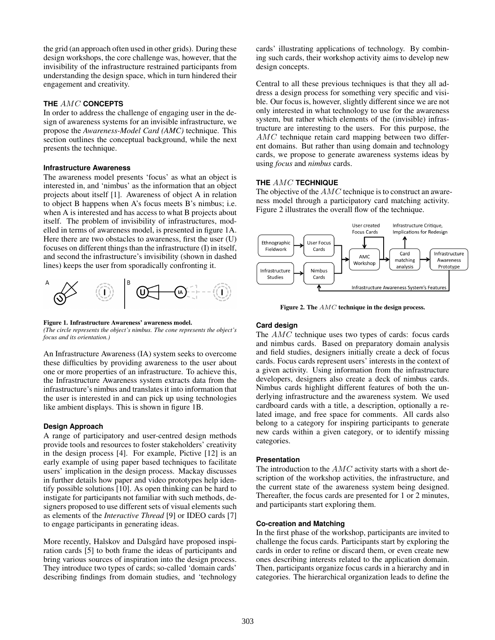the grid (an approach often used in other grids). During these design workshops, the core challenge was, however, that the invisibility of the infrastructure restrained participants from understanding the design space, which in turn hindered their engagement and creativity.

# **THE** AMC **CONCEPTS**

In order to address the challenge of engaging user in the design of awareness systems for an invisible infrastructure, we propose the *Awareness-Model Card (AMC)* technique. This section outlines the conceptual background, while the next presents the technique.

### **Infrastructure Awareness**

The awareness model presents 'focus' as what an object is interested in, and 'nimbus' as the information that an object projects about itself [\[1\]](#page-3-9). Awareness of object A in relation to object B happens when A's focus meets B's nimbus; i.e. when A is interested and has access to what B projects about itself. The problem of invisibility of infrastructures, modelled in terms of awareness model, is presented in figure [1A](#page-1-0). Here there are two obstacles to awareness, first the user (U) focuses on different things than the infrastructure (I) in itself, and second the infrastructure's invisibility (shown in dashed lines) keeps the user from sporadically confronting it.



#### <span id="page-1-0"></span>Figure 1. Infrastructure Awareness' awareness model.

*(The circle represents the object's nimbus. The cone represents the object's focus and its orientation.)*

An Infrastructure Awareness (IA) system seeks to overcome these difficulties by providing awareness to the user about one or more properties of an infrastructure. To achieve this, the Infrastructure Awareness system extracts data from the infrastructure's nimbus and translates it into information that the user is interested in and can pick up using technologies like ambient displays. This is shown in figure [1B](#page-1-0).

# **Design Approach**

A range of participatory and user-centred design methods provide tools and resources to foster stakeholders' creativity in the design process [\[4\]](#page-3-10). For example, Pictive [\[12\]](#page-3-11) is an early example of using paper based techniques to facilitate users' implication in the design process. Mackay discusses in further details how paper and video prototypes help identify possible solutions [\[10\]](#page-3-12). As open thinking can be hard to instigate for participants not familiar with such methods, designers proposed to use different sets of visual elements such as elements of the *Interactive Thread* [\[9\]](#page-3-13) or IDEO cards [\[7\]](#page-3-14) to engage participants in generating ideas.

More recently, Halskov and Dalsgård have proposed inspiration cards [\[5\]](#page-3-8) to both frame the ideas of participants and bring various sources of inspiration into the design process. They introduce two types of cards; so-called 'domain cards' describing findings from domain studies, and 'technology cards' illustrating applications of technology. By combining such cards, their workshop activity aims to develop new design concepts.

Central to all these previous techniques is that they all address a design process for something very specific and visible. Our focus is, however, slightly different since we are not only interested in what technology to use for the awareness system, but rather which elements of the (invisible) infrastructure are interesting to the users. For this purpose, the AMC technique retain card mapping between two different domains. But rather than using domain and technology cards, we propose to generate awareness systems ideas by using *focus* and *nimbus* cards.

### **THE** AMC **TECHNIQUE**

The objective of the AMC technique is to construct an awareness model through a participatory card matching activity. Figure [2](#page-1-1) illustrates the overall flow of the technique.



<span id="page-1-1"></span>Figure 2. The  $AMC$  technique in the design process.

#### **Card design**

The AMC technique uses two types of cards: focus cards and nimbus cards. Based on preparatory domain analysis and field studies, designers initially create a deck of focus cards. Focus cards represent users' interests in the context of a given activity. Using information from the infrastructure developers, designers also create a deck of nimbus cards. Nimbus cards highlight different features of both the underlying infrastructure and the awareness system. We used cardboard cards with a title, a description, optionally a related image, and free space for comments. All cards also belong to a category for inspiring participants to generate new cards within a given category, or to identify missing categories.

#### **Presentation**

The introduction to the  $AMC$  activity starts with a short description of the workshop activities, the infrastructure, and the current state of the awareness system being designed. Thereafter, the focus cards are presented for 1 or 2 minutes, and participants start exploring them.

# **Co-creation and Matching**

In the first phase of the workshop, participants are invited to challenge the focus cards. Participants start by exploring the cards in order to refine or discard them, or even create new ones describing interests related to the application domain. Then, participants organize focus cards in a hierarchy and in categories. The hierarchical organization leads to define the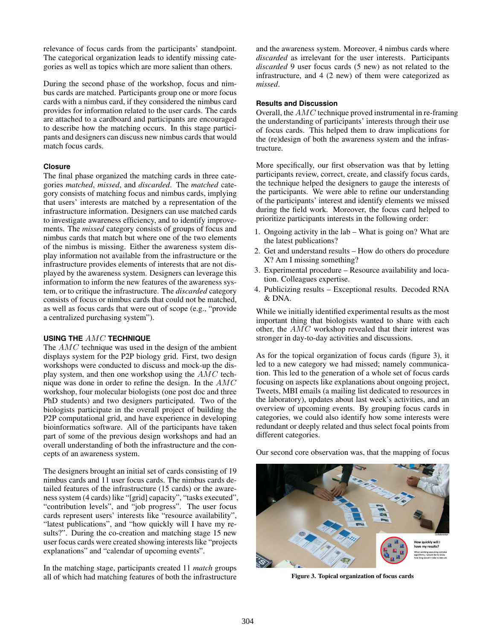relevance of focus cards from the participants' standpoint. The categorical organization leads to identify missing categories as well as topics which are more salient than others.

During the second phase of the workshop, focus and nimbus cards are matched. Participants group one or more focus cards with a nimbus card, if they considered the nimbus card provides for information related to the user cards. The cards are attached to a cardboard and participants are encouraged to describe how the matching occurs. In this stage participants and designers can discuss new nimbus cards that would match focus cards.

## **Closure**

The final phase organized the matching cards in three categories *matched*, *missed*, and *discarded*. The *matched* category consists of matching focus and nimbus cards, implying that users' interests are matched by a representation of the infrastructure information. Designers can use matched cards to investigate awareness efficiency, and to identify improvements. The *missed* category consists of groups of focus and nimbus cards that match but where one of the two elements of the nimbus is missing. Either the awareness system display information not available from the infrastructure or the infrastructure provides elements of interests that are not displayed by the awareness system. Designers can leverage this information to inform the new features of the awareness system, or to critique the infrastructure. The *discarded* category consists of focus or nimbus cards that could not be matched, as well as focus cards that were out of scope (e.g., "provide a centralized purchasing system").

#### **USING THE** AMC **TECHNIQUE**

The AMC technique was used in the design of the ambient displays system for the P2P biology grid. First, two design workshops were conducted to discuss and mock-up the display system, and then one workshop using the AMC technique was done in order to refine the design. In the AMC workshop, four molecular biologists (one post doc and three PhD students) and two designers participated. Two of the biologists participate in the overall project of building the P2P computational grid, and have experience in developing bioinformatics software. All of the participants have taken part of some of the previous design workshops and had an overall understanding of both the infrastructure and the concepts of an awareness system.

The designers brought an initial set of cards consisting of 19 nimbus cards and 11 user focus cards. The nimbus cards detailed features of the infrastructure (15 cards) or the awareness system (4 cards) like "[grid] capacity", "tasks executed", "contribution levels", and "job progress". The user focus cards represent users' interests like "resource availability", "latest publications", and "how quickly will I have my results?". During the co-creation and matching stage 15 new user focus cards were created showing interests like "projects explanations" and "calendar of upcoming events".

In the matching stage, participants created 11 *match* groups all of which had matching features of both the infrastructure and the awareness system. Moreover, 4 nimbus cards where *discarded* as irrelevant for the user interests. Participants *discarded* 9 user focus cards (5 new) as not related to the infrastructure, and 4 (2 new) of them were categorized as *missed*.

#### **Results and Discussion**

Overall, the AMC technique proved instrumental in re-framing the understanding of participants' interests through their use of focus cards. This helped them to draw implications for the (re)design of both the awareness system and the infrastructure.

More specifically, our first observation was that by letting participants review, correct, create, and classify focus cards, the technique helped the designers to gauge the interests of the participants. We were able to refine our understanding of the participants' interest and identify elements we missed during the field work. Moreover, the focus card helped to prioritize participants interests in the following order:

- 1. Ongoing activity in the lab What is going on? What are the latest publications?
- 2. Get and understand results How do others do procedure X? Am I missing something?
- 3. Experimental procedure Resource availability and location. Colleagues expertise.
- 4. Publicizing results Exceptional results. Decoded RNA & DNA.

While we initially identified experimental results as the most important thing that biologists wanted to share with each other, the AMC workshop revealed that their interest was stronger in day-to-day activities and discussions.

As for the topical organization of focus cards (figure [3\)](#page-2-0), it led to a new category we had missed; namely communication. This led to the generation of a whole set of focus cards focusing on aspects like explanations about ongoing project, Tweets, MBI emails (a mailing list dedicated to resources in the laboratory), updates about last week's activities, and an overview of upcoming events. By grouping focus cards in categories, we could also identify how some interests were redundant or deeply related and thus select focal points from different categories.

Our second core observation was, that the mapping of focus

<span id="page-2-0"></span>

Figure 3. Topical organization of focus cards